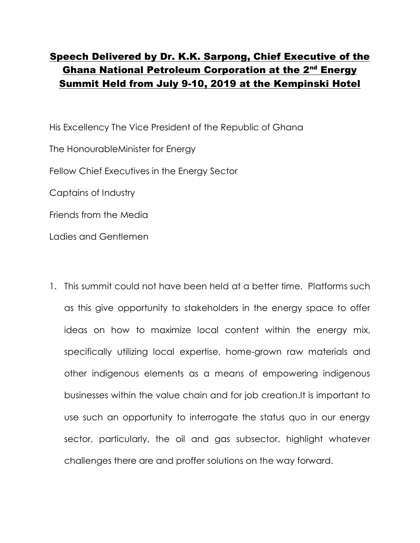## **Speech Delivered by Dr. K.K. Sarpong, Chief Executive of the Ghana National Petroleum Corporation at the 2nd Energy Summit Held from July 9-10, 2019 at the Kempinski Hotel**

His Excellency The Vice President of the Republic of Ghana The HonourableMinister for Energy Fellow Chief Executives in the Energy Sector Captains of Industry Friends from the Media Ladies and Gentlemen

1. This summit could not have been held at a better time. Platforms such as this give opportunity to stakeholders in the energy space to offer ideas on how to maximize local content within the energy mix, specifically utilizing local expertise, home-grown raw materials and other indigenous elements as a means of empowering indigenous businesses within the value chain and for job creation.It is important to use such an opportunity to interrogate the status quo in our energy sector, particularly, the oil and gas subsector, highlight whatever challenges there are and proffer solutions on the way forward.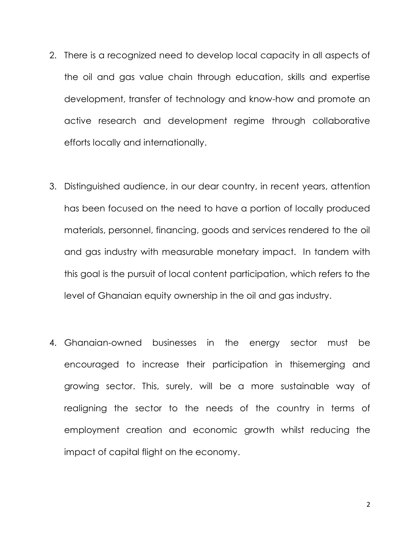- 2. There is a recognized need to develop local capacity in all aspects of the oil and gas value chain through education, skills and expertise development, transfer of technology and know-how and promote an active research and development regime through collaborative efforts locally and internationally.
- 3. Distinguished audience, in our dear country, in recent years, attention has been focused on the need to have a portion of locally produced materials, personnel, financing, goods and services rendered to the oil and gas industry with measurable monetary impact. In tandem with this goal is the pursuit of local content participation, which refers to the level of Ghanaian equity ownership in the oil and gas industry.
- 4. Ghanaian-owned businesses in the energy sector must be encouraged to increase their participation in thisemerging and growing sector. This, surely, will be a more sustainable way of realigning the sector to the needs of the country in terms of employment creation and economic growth whilst reducing the impact of capital flight on the economy.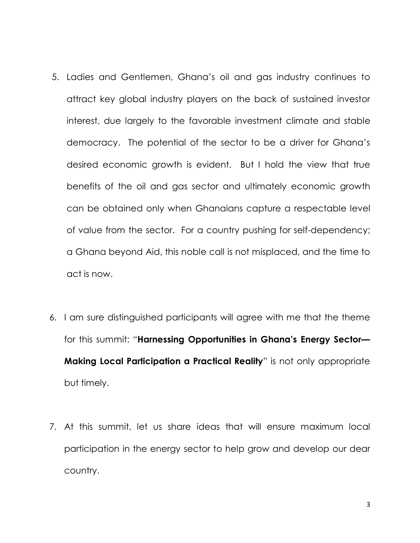- 5. Ladies and Gentlemen, Ghana's oil and gas industry continues to attract key global industry players on the back of sustained investor interest, due largely to the favorable investment climate and stable democracy. The potential of the sector to be a driver for Ghana's desired economic growth is evident. But I hold the view that true benefits of the oil and gas sector and ultimately economic growth can be obtained only when Ghanaians capture a respectable level of value from the sector. For a country pushing for self-dependency; a Ghana beyond Aid, this noble call is not misplaced, and the time to act is now.
- 6. I am sure distinguished participants will agree with me that the theme for this summit: "**Harnessing Opportunities in Ghana's Energy Sector— Making Local Participation a Practical Reality**" is not only appropriate but timely.
- 7. At this summit, let us share ideas that will ensure maximum local participation in the energy sector to help grow and develop our dear country.